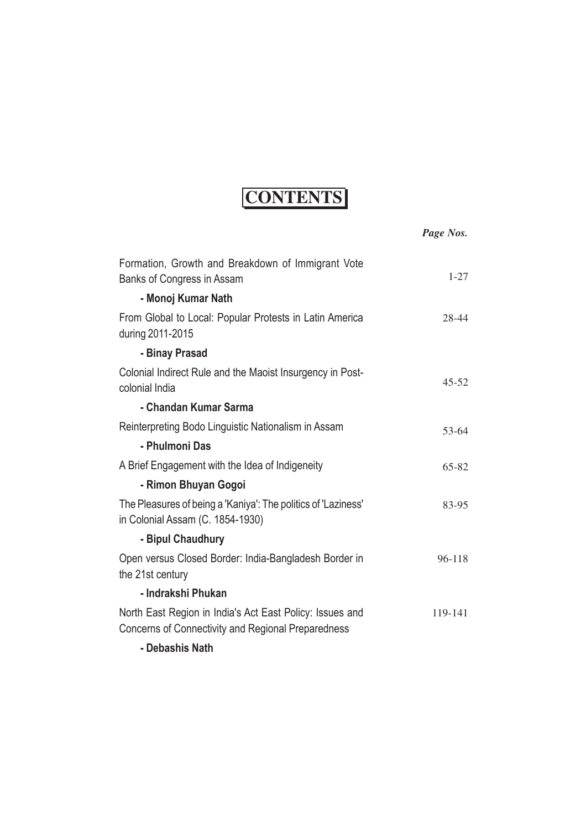## **CONTENTS**

|                                                                                                                | Page Nos. |
|----------------------------------------------------------------------------------------------------------------|-----------|
| Formation, Growth and Breakdown of Immigrant Vote<br>Banks of Congress in Assam                                | $1 - 27$  |
| - Monoj Kumar Nath                                                                                             |           |
| From Global to Local: Popular Protests in Latin America<br>during 2011-2015                                    | 28-44     |
| - Binay Prasad                                                                                                 |           |
| Colonial Indirect Rule and the Maoist Insurgency in Post-<br>colonial India                                    | $45 - 52$ |
| - Chandan Kumar Sarma                                                                                          |           |
| Reinterpreting Bodo Linguistic Nationalism in Assam                                                            | 53-64     |
| - Phulmoni Das                                                                                                 |           |
| A Brief Engagement with the Idea of Indigeneity                                                                | $65 - 82$ |
| - Rimon Bhuyan Gogoi                                                                                           |           |
| The Pleasures of being a 'Kaniya': The politics of 'Laziness'<br>in Colonial Assam (C. 1854-1930)              | 83-95     |
| - Bipul Chaudhury                                                                                              |           |
| Open versus Closed Border: India-Bangladesh Border in<br>the 21st century                                      | 96-118    |
| - Indrakshi Phukan                                                                                             |           |
| North East Region in India's Act East Policy: Issues and<br>Concerns of Connectivity and Regional Preparedness | 119-141   |
| - Debashis Nath                                                                                                |           |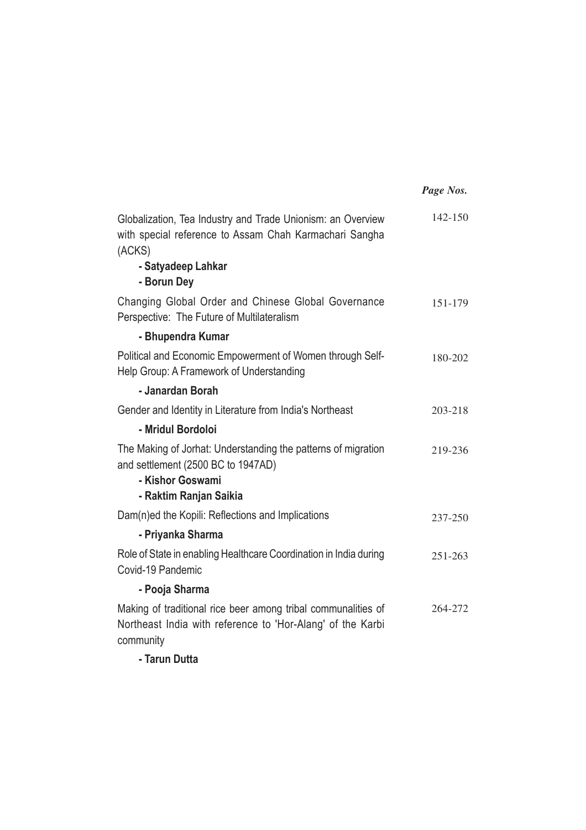|                                                                                                                                                                      | Page Nos. |
|----------------------------------------------------------------------------------------------------------------------------------------------------------------------|-----------|
| Globalization, Tea Industry and Trade Unionism: an Overview<br>with special reference to Assam Chah Karmachari Sangha<br>(ACKS)<br>- Satyadeep Lahkar<br>- Borun Dey | 142-150   |
| Changing Global Order and Chinese Global Governance<br>Perspective: The Future of Multilateralism                                                                    | 151-179   |
| - Bhupendra Kumar                                                                                                                                                    |           |
| Political and Economic Empowerment of Women through Self-<br>Help Group: A Framework of Understanding                                                                | 180-202   |
| - Janardan Borah                                                                                                                                                     |           |
| Gender and Identity in Literature from India's Northeast                                                                                                             | 203-218   |
| - Mridul Bordoloi                                                                                                                                                    |           |
| The Making of Jorhat: Understanding the patterns of migration<br>and settlement (2500 BC to 1947AD)<br>- Kishor Goswami<br>- Raktim Ranjan Saikia                    | 219-236   |
| Dam(n)ed the Kopili: Reflections and Implications                                                                                                                    | 237-250   |
| - Priyanka Sharma                                                                                                                                                    |           |
| Role of State in enabling Healthcare Coordination in India during<br>Covid-19 Pandemic                                                                               | 251-263   |
| - Pooja Sharma                                                                                                                                                       |           |
| Making of traditional rice beer among tribal communalities of<br>Northeast India with reference to 'Hor-Alang' of the Karbi<br>community                             | 264-272   |
| - Tarun Dutta                                                                                                                                                        |           |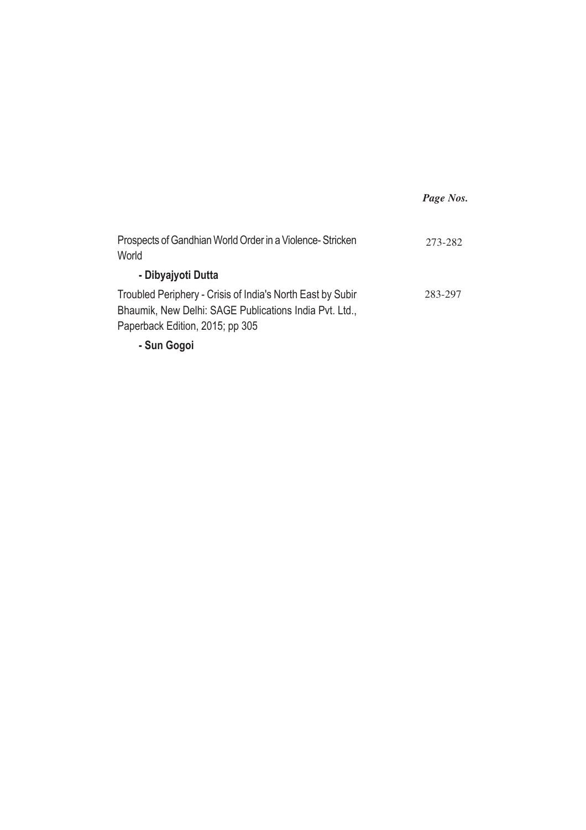|                                                                                                                                                         | Page Nos. |
|---------------------------------------------------------------------------------------------------------------------------------------------------------|-----------|
| Prospects of Gandhian World Order in a Violence-Stricken<br>World                                                                                       | 273-282   |
| - Dibyajyoti Dutta                                                                                                                                      |           |
| Troubled Periphery - Crisis of India's North East by Subir<br>Bhaumik, New Delhi: SAGE Publications India Pvt. Ltd.,<br>Paperback Edition, 2015; pp 305 | 283-297   |
| - Sun Gogoi                                                                                                                                             |           |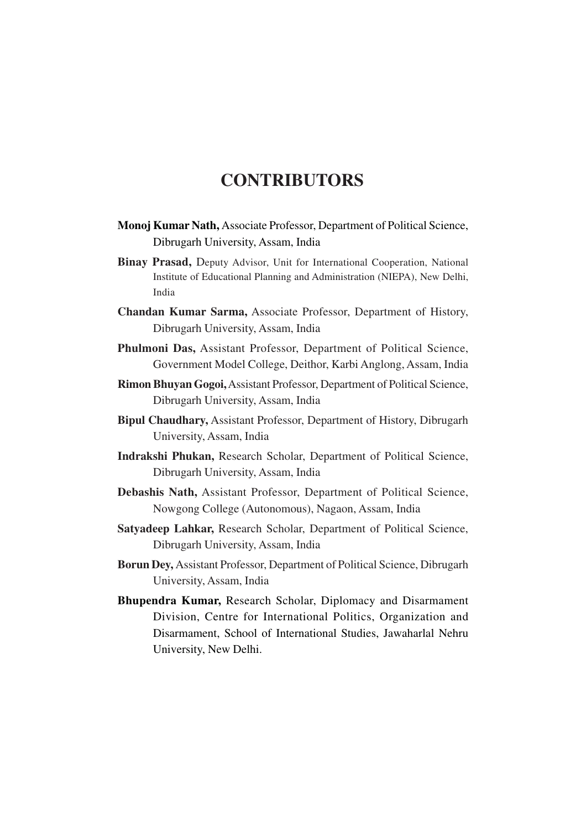## **CONTRIBUTORS**

- **Monoj Kumar Nath,** Associate Professor, Department of Political Science, Dibrugarh University, Assam, India
- **Binay Prasad,** Deputy Advisor, Unit for International Cooperation, National Institute of Educational Planning and Administration (NIEPA), New Delhi, India
- **Chandan Kumar Sarma,** Associate Professor, Department of History, Dibrugarh University, Assam, India
- **Phulmoni Das,** Assistant Professor, Department of Political Science, Government Model College, Deithor, Karbi Anglong, Assam, India
- **Rimon Bhuyan Gogoi,**Assistant Professor, Department of Political Science, Dibrugarh University, Assam, India
- **Bipul Chaudhary,** Assistant Professor, Department of History, Dibrugarh University, Assam, India
- **Indrakshi Phukan,** Research Scholar, Department of Political Science, Dibrugarh University, Assam, India
- **Debashis Nath,** Assistant Professor, Department of Political Science, Nowgong College (Autonomous), Nagaon, Assam, India
- **Satyadeep Lahkar,** Research Scholar, Department of Political Science, Dibrugarh University, Assam, India
- **Borun Dey,** Assistant Professor, Department of Political Science, Dibrugarh University, Assam, India
- **Bhupendra Kumar,** Research Scholar, Diplomacy and Disarmament Division, Centre for International Politics, Organization and Disarmament, School of International Studies, Jawaharlal Nehru University, New Delhi.